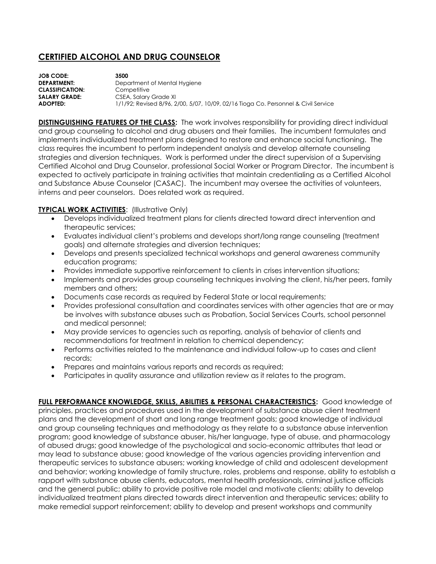## **CERTIFIED ALCOHOL AND DRUG COUNSELOR**

| <b>JOB CODE:</b>       | 3500                                                                               |
|------------------------|------------------------------------------------------------------------------------|
| <b>DEPARTMENT:</b>     | Department of Mental Hygiene                                                       |
| <b>CLASSIFICATION:</b> | Competitive                                                                        |
| <b>SALARY GRADE:</b>   | CSEA, Salary Grade XI                                                              |
| ADOPTED:               | 1/1/92; Revised 8/96, 2/00, 5/07, 10/09, 02/16 Tioga Co. Personnel & Civil Service |

**DISTINGUISHING FEATURES OF THE CLASS:** The work involves responsibility for providing direct individual and group counseling to alcohol and drug abusers and their families. The incumbent formulates and implements individualized treatment plans designed to restore and enhance social functioning. The class requires the incumbent to perform independent analysis and develop alternate counseling strategies and diversion techniques. Work is performed under the direct supervision of a Supervising Certified Alcohol and Drug Counselor, professional Social Worker or Program Director. The incumbent is expected to actively participate in training activities that maintain credentialing as a Certified Alcohol and Substance Abuse Counselor (CASAC). The incumbent may oversee the activities of volunteers, interns and peer counselors. Does related work as required.

## **TYPICAL WORK ACTIVITIES: (Illustrative Only)**

- Develops individualized treatment plans for clients directed toward direct intervention and therapeutic services;
- Evaluates individual client's problems and develops short/long range counseling (treatment goals) and alternate strategies and diversion techniques;
- Develops and presents specialized technical workshops and general awareness community education programs;
- Provides immediate supportive reinforcement to clients in crises intervention situations;
- Implements and provides group counseling techniques involving the client, his/her peers, family members and others;
- Documents case records as required by Federal State or local requirements;
- Provides professional consultation and coordinates services with other agencies that are or may be involves with substance abuses such as Probation, Social Services Courts, school personnel and medical personnel;
- May provide services to agencies such as reporting, analysis of behavior of clients and recommendations for treatment in relation to chemical dependency;
- Performs activities related to the maintenance and individual follow-up to cases and client records;
- Prepares and maintains various reports and records as required;
- Participates in quality assurance and utilization review as it relates to the program.

**FULL PERFORMANCE KNOWLEDGE, SKILLS, ABILITIES & PERSONAL CHARACTERISTICS:** Good knowledge of principles, practices and procedures used in the development of substance abuse client treatment plans and the development of short and long range treatment goals; good knowledge of individual and group counseling techniques and methodology as they relate to a substance abuse intervention program; good knowledge of substance abuser, his/her language, type of abuse, and pharmacology of abused drugs; good knowledge of the psychological and socio-economic attributes that lead or may lead to substance abuse; good knowledge of the various agencies providing intervention and therapeutic services to substance abusers; working knowledge of child and adolescent development and behavior; working knowledge of family structure, roles, problems and response, ability to establish a rapport with substance abuse clients, educators, mental health professionals, criminal justice officials and the general public; ability to provide positive role model and motivate clients; ability to develop individualized treatment plans directed towards direct intervention and therapeutic services; ability to make remedial support reinforcement; ability to develop and present workshops and community